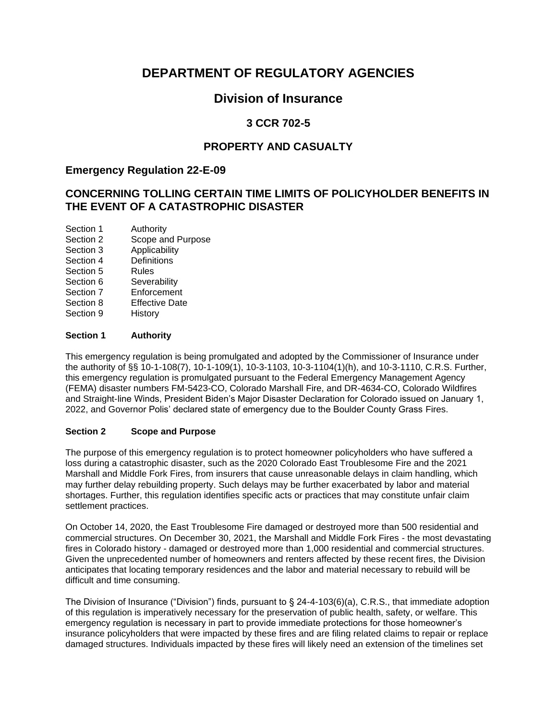# **DEPARTMENT OF REGULATORY AGENCIES**

# **Division of Insurance**

# **3 CCR 702-5**

# **PROPERTY AND CASUALTY**

# **Emergency Regulation 22-E-09**

# **CONCERNING TOLLING CERTAIN TIME LIMITS OF POLICYHOLDER BENEFITS IN THE EVENT OF A CATASTROPHIC DISASTER**

Section 1 Authority<br>Section 2 Scope and Scope and Purpose Section 3 Applicability Section 4 Definitions Section 5 Rules Section 6 Severability Section 7 Enforcement Section 8 Effective Date Section 9 History

## **Section 1 Authority**

This emergency regulation is being promulgated and adopted by the Commissioner of Insurance under the authority of §§ 10-1-108(7), 10-1-109(1), 10-3-1103, 10-3-1104(1)(h), and 10-3-1110, C.R.S. Further, this emergency regulation is promulgated pursuant to the Federal Emergency Management Agency (FEMA) disaster numbers FM-5423-CO, Colorado Marshall Fire, and DR-4634-CO, Colorado Wildfires and Straight-line Winds, President Biden's Major Disaster Declaration for Colorado issued on January 1, 2022, and Governor Polis' declared state of emergency due to the Boulder County Grass Fires.

#### **Section 2 Scope and Purpose**

The purpose of this emergency regulation is to protect homeowner policyholders who have suffered a loss during a catastrophic disaster, such as the 2020 Colorado East Troublesome Fire and the 2021 Marshall and Middle Fork Fires, from insurers that cause unreasonable delays in claim handling, which may further delay rebuilding property. Such delays may be further exacerbated by labor and material shortages. Further, this regulation identifies specific acts or practices that may constitute unfair claim settlement practices.

On October 14, 2020, the East Troublesome Fire damaged or destroyed more than 500 residential and commercial structures. On December 30, 2021, the Marshall and Middle Fork Fires - the most devastating fires in Colorado history - damaged or destroyed more than 1,000 residential and commercial structures. Given the unprecedented number of homeowners and renters affected by these recent fires, the Division anticipates that locating temporary residences and the labor and material necessary to rebuild will be difficult and time consuming.

The Division of Insurance ("Division") finds, pursuant to § 24-4-103(6)(a), C.R.S., that immediate adoption of this regulation is imperatively necessary for the preservation of public health, safety, or welfare. This emergency regulation is necessary in part to provide immediate protections for those homeowner's insurance policyholders that were impacted by these fires and are filing related claims to repair or replace damaged structures. Individuals impacted by these fires will likely need an extension of the timelines set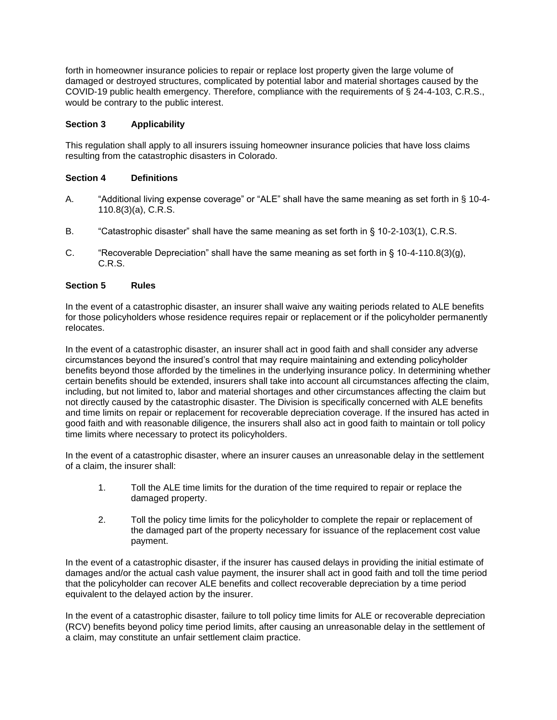forth in homeowner insurance policies to repair or replace lost property given the large volume of damaged or destroyed structures, complicated by potential labor and material shortages caused by the COVID-19 public health emergency. Therefore, compliance with the requirements of § 24-4-103, C.R.S., would be contrary to the public interest.

## **Section 3 Applicability**

This regulation shall apply to all insurers issuing homeowner insurance policies that have loss claims resulting from the catastrophic disasters in Colorado.

### **Section 4 Definitions**

- A. "Additional living expense coverage" or "ALE" shall have the same meaning as set forth in § 10-4- 110.8(3)(a), C.R.S.
- B. "Catastrophic disaster" shall have the same meaning as set forth in § 10-2-103(1), C.R.S.
- C. "Recoverable Depreciation" shall have the same meaning as set forth in  $\S$  10-4-110.8(3)(q), C.R.S.

### **Section 5 Rules**

In the event of a catastrophic disaster, an insurer shall waive any waiting periods related to ALE benefits for those policyholders whose residence requires repair or replacement or if the policyholder permanently relocates.

In the event of a catastrophic disaster, an insurer shall act in good faith and shall consider any adverse circumstances beyond the insured's control that may require maintaining and extending policyholder benefits beyond those afforded by the timelines in the underlying insurance policy. In determining whether certain benefits should be extended, insurers shall take into account all circumstances affecting the claim, including, but not limited to, labor and material shortages and other circumstances affecting the claim but not directly caused by the catastrophic disaster. The Division is specifically concerned with ALE benefits and time limits on repair or replacement for recoverable depreciation coverage. If the insured has acted in good faith and with reasonable diligence, the insurers shall also act in good faith to maintain or toll policy time limits where necessary to protect its policyholders.

In the event of a catastrophic disaster, where an insurer causes an unreasonable delay in the settlement of a claim, the insurer shall:

- 1. Toll the ALE time limits for the duration of the time required to repair or replace the damaged property.
- 2. Toll the policy time limits for the policyholder to complete the repair or replacement of the damaged part of the property necessary for issuance of the replacement cost value payment.

In the event of a catastrophic disaster, if the insurer has caused delays in providing the initial estimate of damages and/or the actual cash value payment, the insurer shall act in good faith and toll the time period that the policyholder can recover ALE benefits and collect recoverable depreciation by a time period equivalent to the delayed action by the insurer.

In the event of a catastrophic disaster, failure to toll policy time limits for ALE or recoverable depreciation (RCV) benefits beyond policy time period limits, after causing an unreasonable delay in the settlement of a claim, may constitute an unfair settlement claim practice.